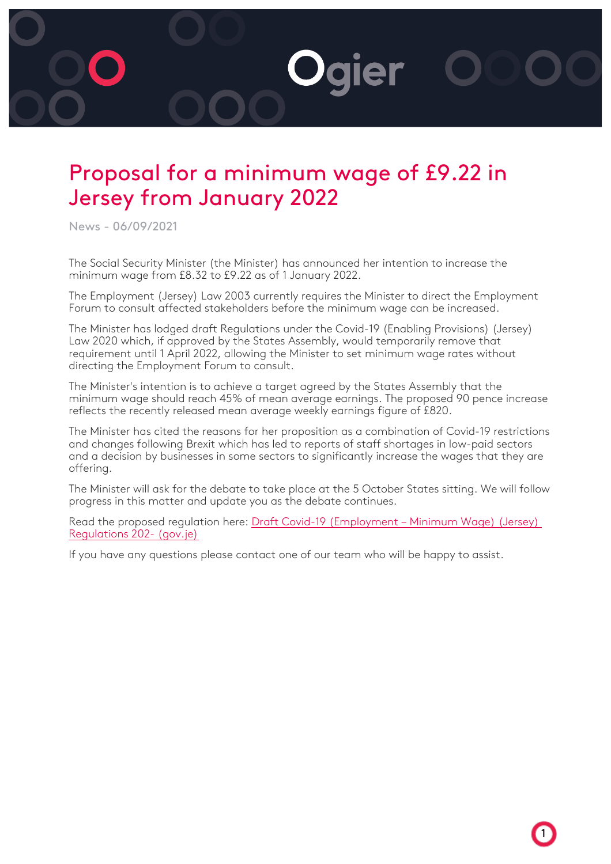## **Daier**

## Proposal for a minimum wage of £9.22 in Jersey from January 2022

News - 06/09/2021

The Social Security Minister (the Minister) has announced her intention to increase the minimum wage from £8.32 to £9.22 as of 1 January 2022.

The Employment (Jersey) Law 2003 currently requires the Minister to direct the Employment Forum to consult affected stakeholders before the minimum wage can be increased.

The Minister has lodged draft Regulations under the Covid-19 (Enabling Provisions) (Jersey) Law 2020 which, if approved by the States Assembly, would temporarily remove that requirement until 1 April 2022, allowing the Minister to set minimum wage rates without directing the Employment Forum to consult.

The Minister's intention is to achieve a target agreed by the States Assembly that the minimum wage should reach 45% of mean average earnings. The proposed 90 pence increase reflects the recently released mean average weekly earnings figure of £820.

The Minister has cited the reasons for her proposition as a combination of Covid-19 restrictions and changes following Brexit which has led to reports of staff shortages in low-paid sectors and a decision by businesses in some sectors to significantly increase the wages that they are offering.

The Minister will ask for the debate to take place at the 5 October States sitting. We will follow progress in this matter and update you as the debate continues.

Read the proposed regulation here: [Draft Covid-19 \(Employment – Minimum Wage\) \(Jersey\)](https://statesassembly.gov.je/assemblypropositions/2021/p.85-2021.pdf) [Regulations 202- \(gov.je\)](https://statesassembly.gov.je/assemblypropositions/2021/p.85-2021.pdf)

1

If you have any questions please contact one of our team who will be happy to assist.